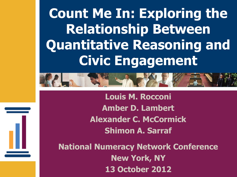**Count Me In: Exploring the Relationship Between Quantitative Reasoning and Civic Engagement**



**Louis M. Rocconi Amber D. Lambert Alexander C. McCormick Shimon A. Sarraf**

**National Numeracy Network Conference New York, NY 13 October 2012**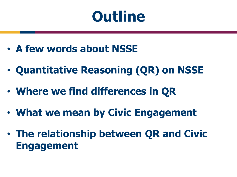### **Outline**

- **A few words about NSSE**
- **Quantitative Reasoning (QR) on NSSE**
- **Where we find differences in QR**
- **What we mean by Civic Engagement**
- **The relationship between QR and Civic Engagement**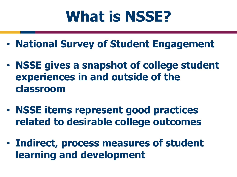## **What is NSSE?**

- **National Survey of Student Engagement**
- **NSSE gives a snapshot of college student experiences in and outside of the classroom**
- **NSSE items represent good practices related to desirable college outcomes**
- **Indirect, process measures of student learning and development**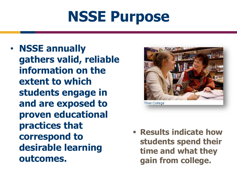# **NSSE Purpose**

• **NSSE annually gathers valid, reliable information on the extent to which students engage in and are exposed to proven educational practices that correspond to desirable learning outcomes.** 



**Results indicate how students spend their time and what they gain from college.**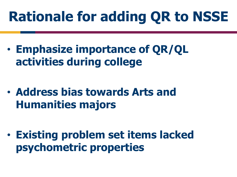## **Rationale for adding QR to NSSE**

- **Emphasize importance of QR/QL activities during college**
- **Address bias towards Arts and Humanities majors**
- **Existing problem set items lacked psychometric properties**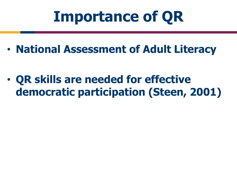## **Importance of QR**

• **National Assessment of Adult Literacy**

• **QR skills are needed for effective democratic participation (Steen, 2001)**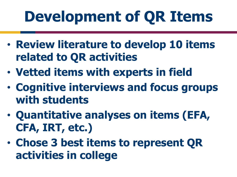# **Development of QR Items**

- **Review literature to develop 10 items related to QR activities**
- **Vetted items with experts in field**
- **Cognitive interviews and focus groups with students**
- **Quantitative analyses on items (EFA, CFA, IRT, etc.)**
- **Chose 3 best items to represent QR activities in college**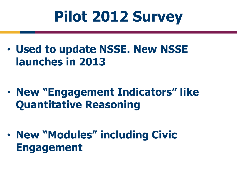# **Pilot 2012 Survey**

• **Used to update NSSE. New NSSE launches in 2013**

- **New "Engagement Indicators" like Quantitative Reasoning**
- **New "Modules" including Civic Engagement**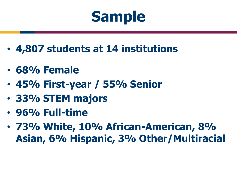# **Sample**

- **4,807 students at 14 institutions**
- **68% Female**
- **45% First-year / 55% Senior**
- **33% STEM majors**
- **96% Full-time**
- **73% White, 10% African-American, 8% Asian, 6% Hispanic, 3% Other/Multiracial**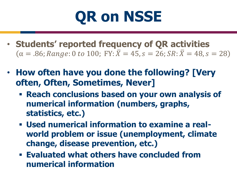

- **Students' reported frequency of QR activities**   $\alpha = .86; Range: 0 \text{ to } 100; \text{ FY: } \bar{X} = 45, s = 26; SR: \bar{X} = 48, s = 28$
- **How often have you done the following? [Very often, Often, Sometimes, Never]**
	- **Reach conclusions based on your own analysis of numerical information (numbers, graphs, statistics, etc.)**
	- **Used numerical information to examine a realworld problem or issue (unemployment, climate change, disease prevention, etc.)**
	- **Evaluated what others have concluded from numerical information**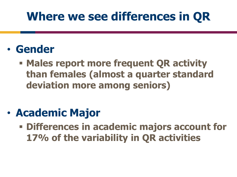#### **Where we see differences in QR**

- **Gender**
	- **Males report more frequent QR activity than females (almost a quarter standard deviation more among seniors)**
- **Academic Major**
	- **Differences in academic majors account for 17% of the variability in QR activities**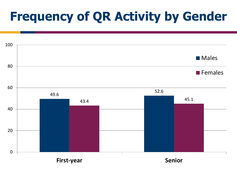### **Frequency of QR Activity by Gender**

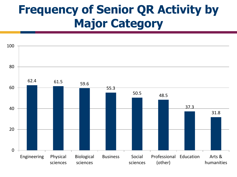#### **Frequency of Senior QR Activity by Major Category**

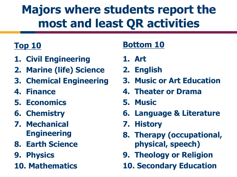### **Majors where students report the most and least QR activities**

#### **Top 10**

- **1. Civil Engineering**
- **2. Marine (life) Science**
- **3. Chemical Engineering**
- **4. Finance**
- **5. Economics**
- **6. Chemistry**
- **7. Mechanical Engineering**
- **8. Earth Science**
- **9. Physics**
- **10. Mathematics**

#### **Bottom 10**

- **1. Art**
- **2. English**
- **3. Music or Art Education**
- **4. Theater or Drama**
- **5. Music**
- **6. Language & Literature**
- **7. History**
- **8. Therapy (occupational, physical, speech)**
- **9. Theology or Religion**
- **10. Secondary Education**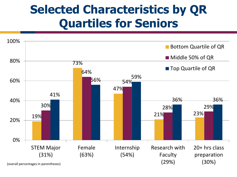#### **Selected Characteristics by QR Quartiles for Seniors**

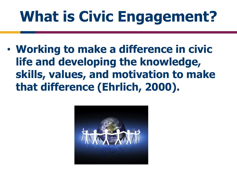# **What is Civic Engagement?**

• **Working to make a difference in civic life and developing the knowledge, skills, values, and motivation to make that difference (Ehrlich, 2000).** 

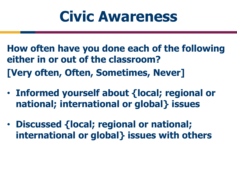## **Civic Awareness**

**How often have you done each of the following either in or out of the classroom? [Very often, Often, Sometimes, Never]**

- **Informed yourself about {local; regional or national; international or global} issues**
- **Discussed {local; regional or national; international or global} issues with others**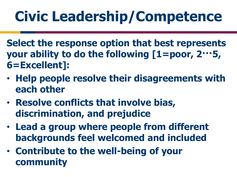# **Civic Leadership/Competence**

- **Select the response option that best represents your ability to do the following [1=poor, 2···5, 6=Excellent]:**
- **Help people resolve their disagreements with each other**
- **Resolve conflicts that involve bias, discrimination, and prejudice**
- **Lead a group where people from different backgrounds feel welcomed and included**
- **Contribute to the well-being of your community**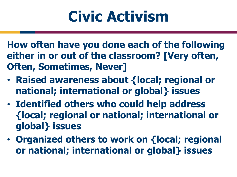# **Civic Activism**

**How often have you done each of the following either in or out of the classroom? [Very often, Often, Sometimes, Never]**

- **Raised awareness about {local; regional or national; international or global} issues**
- **Identified others who could help address {local; regional or national; international or global} issues**
- **Organized others to work on {local; regional or national; international or global} issues**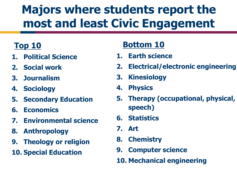### **Majors where students report the most and least Civic Engagement**

#### **Top 10**

- **1. Political Science**
- **2. Social work**
- **3. Journalism**
- **4. Sociology**
- **5. Secondary Education**
- **6. Economics**
- **7. Environmental science**
- **8. Anthropology**
- **9. Theology or religion**
- **10. Special Education**

#### **Bottom 10**

- **1. Earth science**
- **2. Electrical/electronic engineering**
- **3. Kinesiology**
- **4. Physics**
- **5. Therapy (occupational, physical, speech)**
- **6. Statistics**
- **7. Art**
- **8. Chemistry**
- **9. Computer science**
- **10. Mechanical engineering**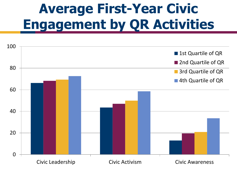### **Average First-Year Civic Engagement by QR Activities**

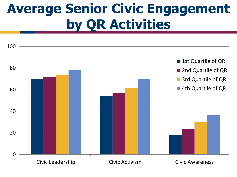### **Average Senior Civic Engagement by QR Activities**

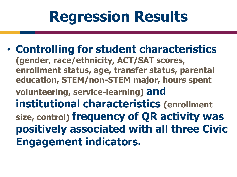# **Regression Results**

• **Controlling for student characteristics (gender, race/ethnicity, ACT/SAT scores, enrollment status, age, transfer status, parental education, STEM/non-STEM major, hours spent volunteering, service-learning) and institutional characteristics (enrollment size, control) frequency of QR activity was positively associated with all three Civic Engagement indicators.**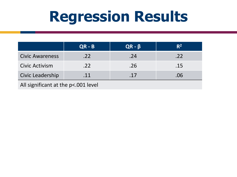## **Regression Results**

|                                     | $QR - B$ | $QR - \beta$ | $R^2$ |
|-------------------------------------|----------|--------------|-------|
| <b>Civic Awareness</b>              | .22      | .24          | .22   |
| Civic Activism                      | .22      | .26          | .15   |
| Civic Leadership                    | .11      | .17          | .06   |
| All significant at the p<.001 level |          |              |       |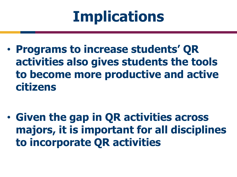# **Implications**

• **Programs to increase students' QR activities also gives students the tools to become more productive and active citizens**

• **Given the gap in QR activities across majors, it is important for all disciplines to incorporate QR activities**